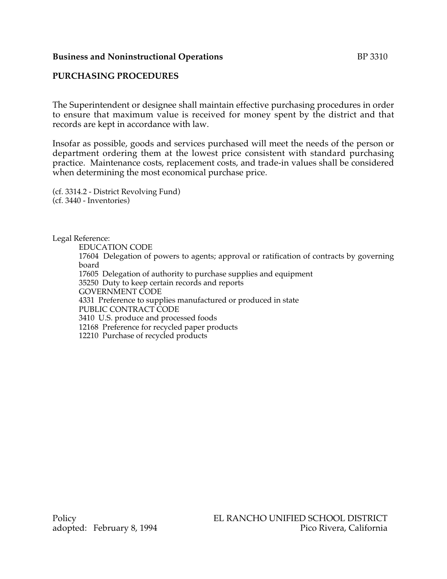#### **Business and Noninstructional Operations** BP 3310

# **PURCHASING PROCEDURES**

The Superintendent or designee shall maintain effective purchasing procedures in order to ensure that maximum value is received for money spent by the district and that records are kept in accordance with law.

Insofar as possible, goods and services purchased will meet the needs of the person or department ordering them at the lowest price consistent with standard purchasing practice. Maintenance costs, replacement costs, and trade-in values shall be considered when determining the most economical purchase price.

(cf. 3314.2 - District Revolving Fund) (cf. 3440 - Inventories)

Legal Reference:

EDUCATION CODE

17604 Delegation of powers to agents; approval or ratification of contracts by governing board

17605 Delegation of authority to purchase supplies and equipment

35250 Duty to keep certain records and reports

GOVERNMENT CODE

4331 Preference to supplies manufactured or produced in state

PUBLIC CONTRACT CODE

3410 U.S. produce and processed foods

12168 Preference for recycled paper products

12210 Purchase of recycled products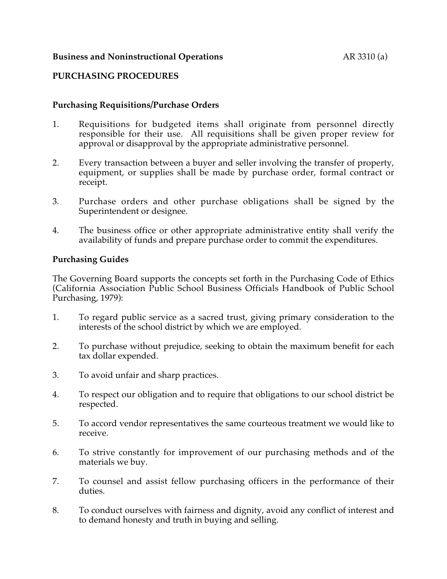## **Business and Noninstructional Operations** AR 3310 (a)

## **PURCHASING PROCEDURES**

## **Purchasing Requisitions/Purchase Orders**

- 1. Requisitions for budgeted items shall originate from personnel directly responsible for their use. All requisitions shall be given proper review for approval or disapproval by the appropriate administrative personnel.
- 2. Every transaction between a buyer and seller involving the transfer of property, equipment, or supplies shall be made by purchase order, formal contract or receipt.
- 3. Purchase orders and other purchase obligations shall be signed by the Superintendent or designee.
- 4. The business office or other appropriate administrative entity shall verify the availability of funds and prepare purchase order to commit the expenditures.

#### **Purchasing Guides**

The Governing Board supports the concepts set forth in the Purchasing Code of Ethics (California Association Public School Business Officials Handbook of Public School Purchasing, 1979):

- 1. To regard public service as a sacred trust, giving primary consideration to the interests of the school district by which we are employed.
- 2. To purchase without prejudice, seeking to obtain the maximum benefit for each tax dollar expended.
- 3. To avoid unfair and sharp practices.
- 4. To respect our obligation and to require that obligations to our school district be respected.
- 5. To accord vendor representatives the same courteous treatment we would like to receive.
- 6. To strive constantly for improvement of our purchasing methods and of the materials we buy.
- 7. To counsel and assist fellow purchasing officers in the performance of their duties.
- 8. To conduct ourselves with fairness and dignity, avoid any conflict of interest and to demand honesty and truth in buying and selling.